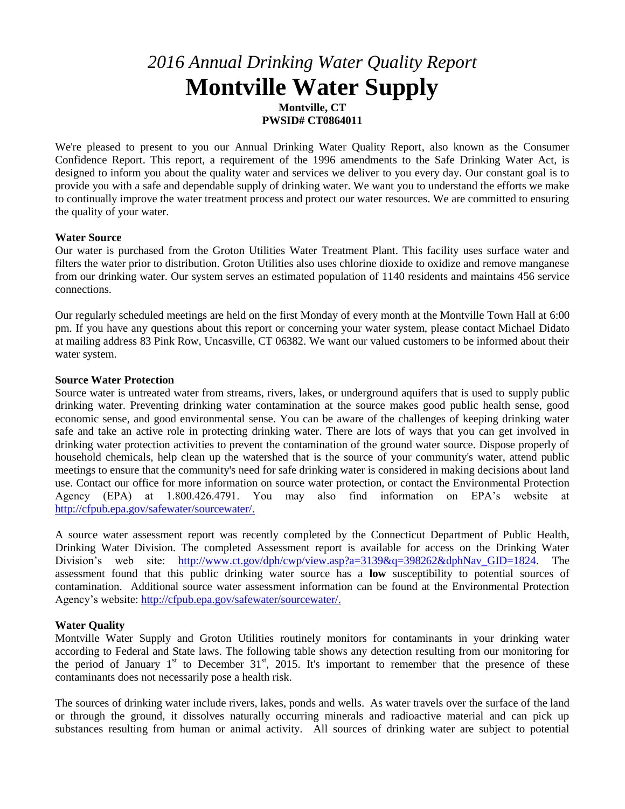# *2016 Annual Drinking Water Quality Report* **Montville Water Supply**

**Montville, CT PWSID# CT0864011**

We're pleased to present to you our Annual Drinking Water Quality Report, also known as the Consumer Confidence Report. This report, a requirement of the 1996 amendments to the Safe Drinking Water Act, is designed to inform you about the quality water and services we deliver to you every day. Our constant goal is to provide you with a safe and dependable supply of drinking water. We want you to understand the efforts we make to continually improve the water treatment process and protect our water resources. We are committed to ensuring the quality of your water.

### **Water Source**

Our water is purchased from the Groton Utilities Water Treatment Plant. This facility uses surface water and filters the water prior to distribution. Groton Utilities also uses chlorine dioxide to oxidize and remove manganese from our drinking water. Our system serves an estimated population of 1140 residents and maintains 456 service connections.

Our regularly scheduled meetings are held on the first Monday of every month at the Montville Town Hall at 6:00 pm. If you have any questions about this report or concerning your water system, please contact Michael Didato at mailing address 83 Pink Row, Uncasville, CT 06382. We want our valued customers to be informed about their water system.

## **Source Water Protection**

Source water is untreated water from streams, rivers, lakes, or underground aquifers that is used to supply public drinking water. Preventing drinking water contamination at the source makes good public health sense, good economic sense, and good environmental sense. You can be aware of the challenges of keeping drinking water safe and take an active role in protecting drinking water. There are lots of ways that you can get involved in drinking water protection activities to prevent the contamination of the ground water source. Dispose properly of household chemicals, help clean up the watershed that is the source of your community's water, attend public meetings to ensure that the community's need for safe drinking water is considered in making decisions about land use. Contact our office for more information on source water protection, or contact the Environmental Protection Agency (EPA) at 1.800.426.4791. You may also find information on EPA's website at [http://cfpub.epa.gov/safewater/sourcewater/.](http://cfpub.epa.gov/safewater/sourcewater/)

A source water assessment report was recently completed by the Connecticut Department of Public Health, Drinking Water Division. The completed Assessment report is available for access on the Drinking Water Division's web site: [http://www.ct.gov/dph/cwp/view.asp?a=3139&q=398262&dphNav\\_GID=1824.](http://www.ct.gov/dph/cwp/view.asp?a=3139&q=398262&dphNav_GID=1824) The assessment found that this public drinking water source has a **low** susceptibility to potential sources of contamination. Additional source water assessment information can be found at the Environmental Protection Agency's website: [http://cfpub.epa.gov/safewater/sourcewater/.](http://cfpub.epa.gov/safewater/sourcewater/)

## **Water Quality**

Montville Water Supply and Groton Utilities routinely monitors for contaminants in your drinking water according to Federal and State laws. The following table shows any detection resulting from our monitoring for the period of January  $1<sup>st</sup>$  to December  $31<sup>st</sup>$ , 2015. It's important to remember that the presence of these contaminants does not necessarily pose a health risk.

The sources of drinking water include rivers, lakes, ponds and wells. As water travels over the surface of the land or through the ground, it dissolves naturally occurring minerals and radioactive material and can pick up substances resulting from human or animal activity. All sources of drinking water are subject to potential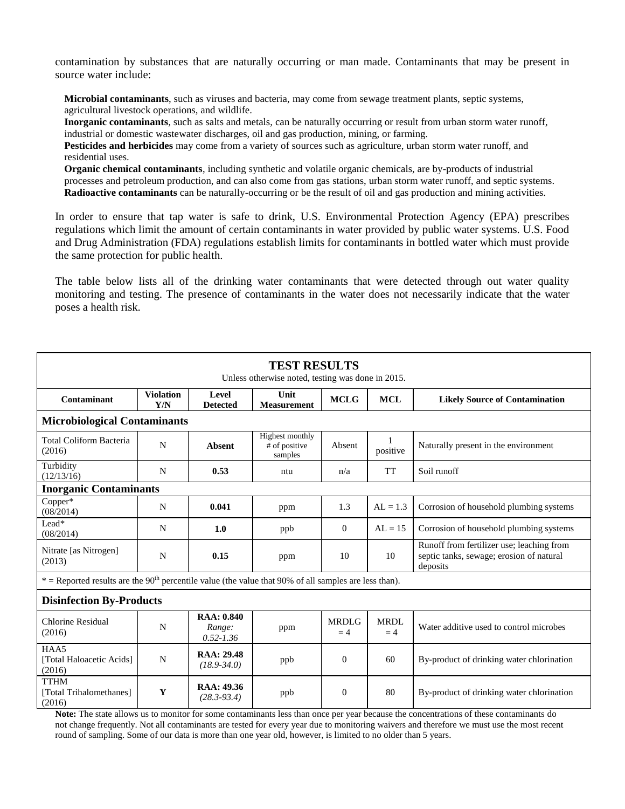contamination by substances that are naturally occurring or man made. Contaminants that may be present in source water include:

**Microbial contaminants**, such as viruses and bacteria, may come from sewage treatment plants, septic systems, agricultural livestock operations, and wildlife.

**Inorganic contaminants**, such as salts and metals, can be naturally occurring or result from urban storm water runoff, industrial or domestic wastewater discharges, oil and gas production, mining, or farming.

**Pesticides and herbicides** may come from a variety of sources such as agriculture, urban storm water runoff, and residential uses.

**Organic chemical contaminants**, including synthetic and volatile organic chemicals, are by-products of industrial processes and petroleum production, and can also come from gas stations, urban storm water runoff, and septic systems. **Radioactive contaminants** can be naturally-occurring or be the result of oil and gas production and mining activities.

In order to ensure that tap water is safe to drink, U.S. Environmental Protection Agency (EPA) prescribes regulations which limit the amount of certain contaminants in water provided by public water systems. U.S. Food and Drug Administration (FDA) regulations establish limits for contaminants in bottled water which must provide the same protection for public health.

The table below lists all of the drinking water contaminants that were detected through out water quality monitoring and testing. The presence of contaminants in the water does not necessarily indicate that the water poses a health risk.

| <b>TEST RESULTS</b><br>Unless otherwise noted, testing was done in 2015.                                            |                         |                                               |                                             |                      |                     |                                                                                                                                                                                     |
|---------------------------------------------------------------------------------------------------------------------|-------------------------|-----------------------------------------------|---------------------------------------------|----------------------|---------------------|-------------------------------------------------------------------------------------------------------------------------------------------------------------------------------------|
| Contaminant                                                                                                         | <b>Violation</b><br>Y/N | Level<br><b>Detected</b>                      | Unit<br><b>Measurement</b>                  | <b>MCLG</b>          | <b>MCL</b>          | <b>Likely Source of Contamination</b>                                                                                                                                               |
| <b>Microbiological Contaminants</b>                                                                                 |                         |                                               |                                             |                      |                     |                                                                                                                                                                                     |
| <b>Total Coliform Bacteria</b><br>(2016)                                                                            | N                       | <b>Absent</b>                                 | Highest monthly<br># of positive<br>samples | Absent               | 1<br>positive       | Naturally present in the environment                                                                                                                                                |
| Turbidity<br>(12/13/16)                                                                                             | N                       | 0.53                                          | ntu                                         | n/a                  | TT                  | Soil runoff                                                                                                                                                                         |
| <b>Inorganic Contaminants</b>                                                                                       |                         |                                               |                                             |                      |                     |                                                                                                                                                                                     |
| Copper*<br>(08/2014)                                                                                                | N                       | 0.041                                         | ppm                                         | 1.3                  | $AL = 1.3$          | Corrosion of household plumbing systems                                                                                                                                             |
| Lead*<br>(08/2014)                                                                                                  | N                       | 1.0                                           | ppb                                         | $\Omega$             | $AL = 15$           | Corrosion of household plumbing systems                                                                                                                                             |
| Nitrate [as Nitrogen]<br>(2013)                                                                                     | N                       | 0.15                                          | ppm                                         | 10                   | 10                  | Runoff from fertilizer use; leaching from<br>septic tanks, sewage; erosion of natural<br>deposits                                                                                   |
| $*$ = Reported results are the 90 <sup>th</sup> percentile value (the value that 90% of all samples are less than). |                         |                                               |                                             |                      |                     |                                                                                                                                                                                     |
| <b>Disinfection By-Products</b>                                                                                     |                         |                                               |                                             |                      |                     |                                                                                                                                                                                     |
| <b>Chlorine Residual</b><br>(2016)                                                                                  | N                       | <b>RAA</b> : 0.840<br>Range:<br>$0.52 - 1.36$ | ppm                                         | <b>MRDLG</b><br>$=4$ | <b>MRDL</b><br>$=4$ | Water additive used to control microbes                                                                                                                                             |
| HAA5<br>[Total Haloacetic Acids]<br>(2016)                                                                          | N                       | <b>RAA</b> : 29.48<br>$(18.9 - 34.0)$         | ppb                                         | $\mathbf{0}$         | 60                  | By-product of drinking water chlorination                                                                                                                                           |
| <b>TTHM</b><br>[Total Trihalomethanes]<br>(2016)                                                                    | Y                       | RAA: 49.36<br>$(28.3 - 93.4)$                 | ppb                                         | $\Omega$             | 80                  | By-product of drinking water chlorination<br>Note: The state allows us to monitor for some contaminants less than once per year because the concentrations of these contaminants do |

**Note:** The state allows us to monitor for some contaminants less than once per year because the concentrations of these contaminants do not change frequently. Not all contaminants are tested for every year due to monitoring waivers and therefore we must use the most recent round of sampling. Some of our data is more than one year old, however, is limited to no older than 5 years.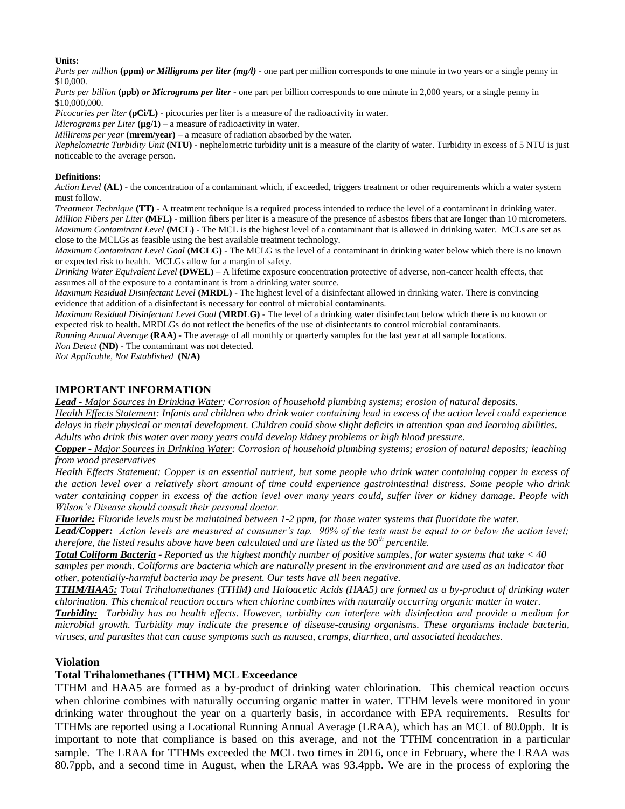#### **Units:**

*Parts per million* **(ppm)** *or Milligrams per liter (mg/l)* - one part per million corresponds to one minute in two years or a single penny in \$10,000.

*Parts per billion* **(ppb)** *or Micrograms per liter* - one part per billion corresponds to one minute in 2,000 years, or a single penny in \$10,000,000.

*Picocuries per liter* (pCi/L) - picocuries per liter is a measure of the radioactivity in water.

*Micrograms per Liter*  $(\mu g/1)$  – a measure of radioactivity in water.

*Millirems per year* **(mrem/year)** – a measure of radiation absorbed by the water.

*Nephelometric Turbidity Unit* **(NTU)** - nephelometric turbidity unit is a measure of the clarity of water. Turbidity in excess of 5 NTU is just noticeable to the average person.

#### **Definitions:**

*Action Level* **(AL)** - the concentration of a contaminant which, if exceeded, triggers treatment or other requirements which a water system must follow.

*Treatment Technique* **(TT)** - A treatment technique is a required process intended to reduce the level of a contaminant in drinking water. *Million Fibers per Liter* **(MFL)** - million fibers per liter is a measure of the presence of asbestos fibers that are longer than 10 micrometers. *Maximum Contaminant Level* **(MCL)** - The MCL is the highest level of a contaminant that is allowed in drinking water. MCLs are set as close to the MCLGs as feasible using the best available treatment technology.

*Maximum Contaminant Level Goal* **(MCLG)** - The MCLG is the level of a contaminant in drinking water below which there is no known or expected risk to health. MCLGs allow for a margin of safety.

*Drinking Water Equivalent Level* **(DWEL)** *–* A lifetime exposure concentration protective of adverse, non-cancer health effects, that assumes all of the exposure to a contaminant is from a drinking water source.

*Maximum Residual Disinfectant Level* **(MRDL)** - The highest level of a disinfectant allowed in drinking water. There is convincing evidence that addition of a disinfectant is necessary for control of microbial contaminants.

*Maximum Residual Disinfectant Level Goal* **(MRDLG)** - The level of a drinking water disinfectant below which there is no known or expected risk to health. MRDLGs do not reflect the benefits of the use of disinfectants to control microbial contaminants.

*Running Annual Average* **(RAA) -** The average of all monthly or quarterly samples for the last year at all sample locations. *Non Detect* **(ND)** - The contaminant was not detected.

*Not Applicable, Not Established* **(N/A)**

## **IMPORTANT INFORMATION**

*Lead - Major Sources in Drinking Water: Corrosion of household plumbing systems; erosion of natural deposits. Health Effects Statement: Infants and children who drink water containing lead in excess of the action level could experience delays in their physical or mental development. Children could show slight deficits in attention span and learning abilities. Adults who drink this water over many years could develop kidney problems or high blood pressure.* 

*Copper - Major Sources in Drinking Water: Corrosion of household plumbing systems; erosion of natural deposits; leaching from wood preservatives* 

*Health Effects Statement: Copper is an essential nutrient, but some people who drink water containing copper in excess of the action level over a relatively short amount of time could experience gastrointestinal distress. Some people who drink water containing copper in excess of the action level over many years could, suffer liver or kidney damage. People with Wilson's Disease should consult their personal doctor.*

*Fluoride: Fluoride levels must be maintained between 1-2 ppm, for those water systems that fluoridate the water.*

*Lead/Copper: Action levels are measured at consumer's tap. 90% of the tests must be equal to or below the action level; therefore, the listed results above have been calculated and are listed as the 90th percentile.*

*Total Coliform Bacteria - Reported as the highest monthly number of positive samples, for water systems that take < 40 samples per month. Coliforms are bacteria which are naturally present in the environment and are used as an indicator that other, potentially-harmful bacteria may be present. Our tests have all been negative.*

*TTHM/HAA5: Total Trihalomethanes (TTHM) and Haloacetic Acids (HAA5) are formed as a by-product of drinking water chlorination. This chemical reaction occurs when chlorine combines with naturally occurring organic matter in water.* 

*Turbidity: Turbidity has no health effects. However, turbidity can interfere with disinfection and provide a medium for microbial growth. Turbidity may indicate the presence of disease-causing organisms. These organisms include bacteria, viruses, and parasites that can cause symptoms such as nausea, cramps, diarrhea, and associated headaches.*

#### **Violation**

#### **Total Trihalomethanes (TTHM) MCL Exceedance**

TTHM and HAA5 are formed as a by-product of drinking water chlorination. This chemical reaction occurs when chlorine combines with naturally occurring organic matter in water. TTHM levels were monitored in your drinking water throughout the year on a quarterly basis, in accordance with EPA requirements. Results for TTHMs are reported using a Locational Running Annual Average (LRAA), which has an MCL of 80.0ppb. It is important to note that compliance is based on this average, and not the TTHM concentration in a particular sample. The LRAA for TTHMs exceeded the MCL two times in 2016, once in February, where the LRAA was 80.7ppb, and a second time in August, when the LRAA was 93.4ppb. We are in the process of exploring the